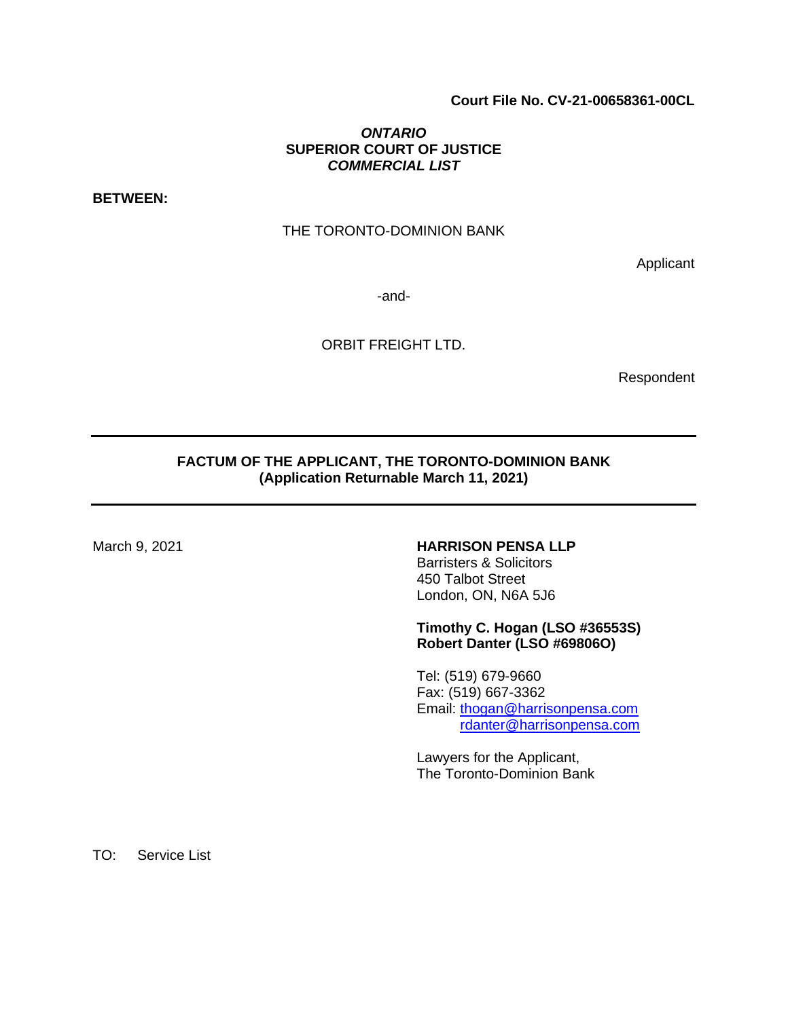# **Court File No. CV-21-00658361-00CL**

# *ONTARIO* **SUPERIOR COURT OF JUSTICE**  *COMMERCIAL LIST*

**BETWEEN:** 

## THE TORONTO-DOMINION BANK

Applicant

-and-

ORBIT FREIGHT LTD.

Respondent

# **FACTUM OF THE APPLICANT, THE TORONTO-DOMINION BANK (Application Returnable March 11, 2021)**

# March 9, 2021 **HARRISON PENSA LLP**

Barristers & Solicitors 450 Talbot Street London, ON, N6A 5J6

## **Timothy C. Hogan (LSO #36553S) Robert Danter (LSO #69806O)**

Tel: (519) 679-9660 Fax: (519) 667-3362 Email: [thogan@harrisonpensa.com](mailto:thogan@harrisonpensa.com) [rdanter@harrisonpensa.com](mailto:rdanter@harrisonpensa.com)

Lawyers for the Applicant, The Toronto-Dominion Bank

TO: Service List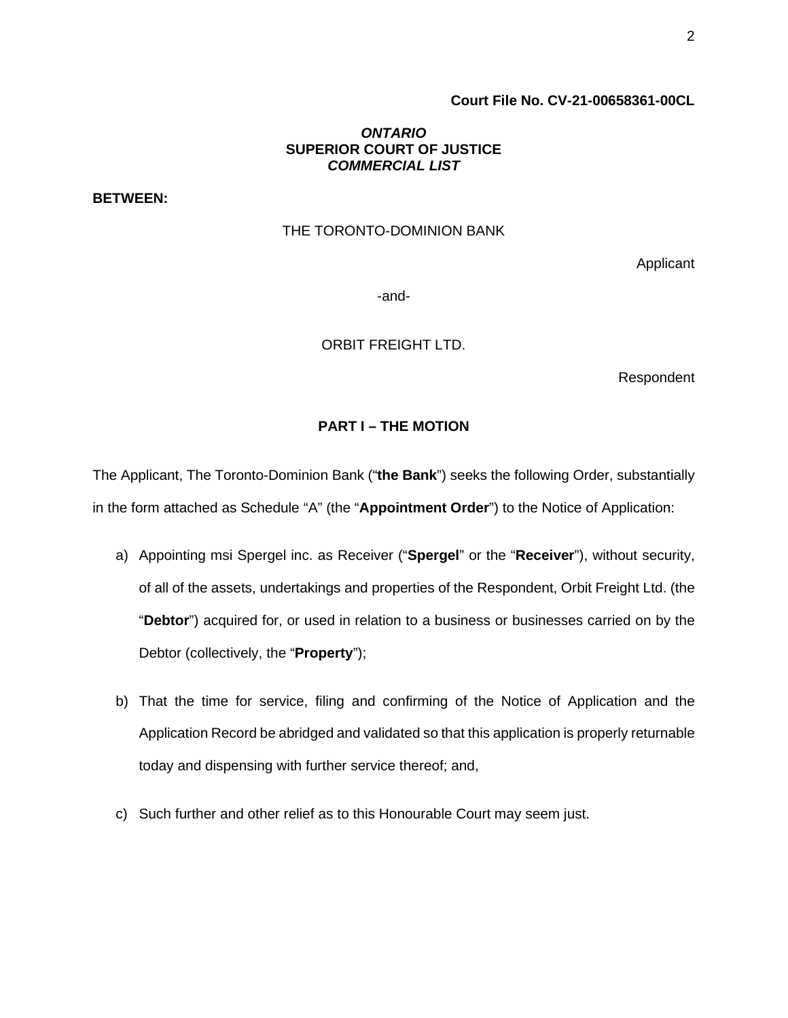# **Court File No. CV-21-00658361-00CL**

## *ONTARIO* **SUPERIOR COURT OF JUSTICE**  *COMMERCIAL LIST*

**BETWEEN:** 

#### THE TORONTO-DOMINION BANK

Applicant

-and-

ORBIT FREIGHT LTD.

Respondent

# **PART I – THE MOTION**

The Applicant, The Toronto-Dominion Bank ("**the Bank**") seeks the following Order, substantially in the form attached as Schedule "A" (the "**Appointment Order**") to the Notice of Application:

- a) Appointing msi Spergel inc. as Receiver ("**Spergel**" or the "**Receiver**"), without security, of all of the assets, undertakings and properties of the Respondent, Orbit Freight Ltd. (the "**Debtor**") acquired for, or used in relation to a business or businesses carried on by the Debtor (collectively, the "**Property**");
- b) That the time for service, filing and confirming of the Notice of Application and the Application Record be abridged and validated so that this application is properly returnable today and dispensing with further service thereof; and,
- c) Such further and other relief as to this Honourable Court may seem just.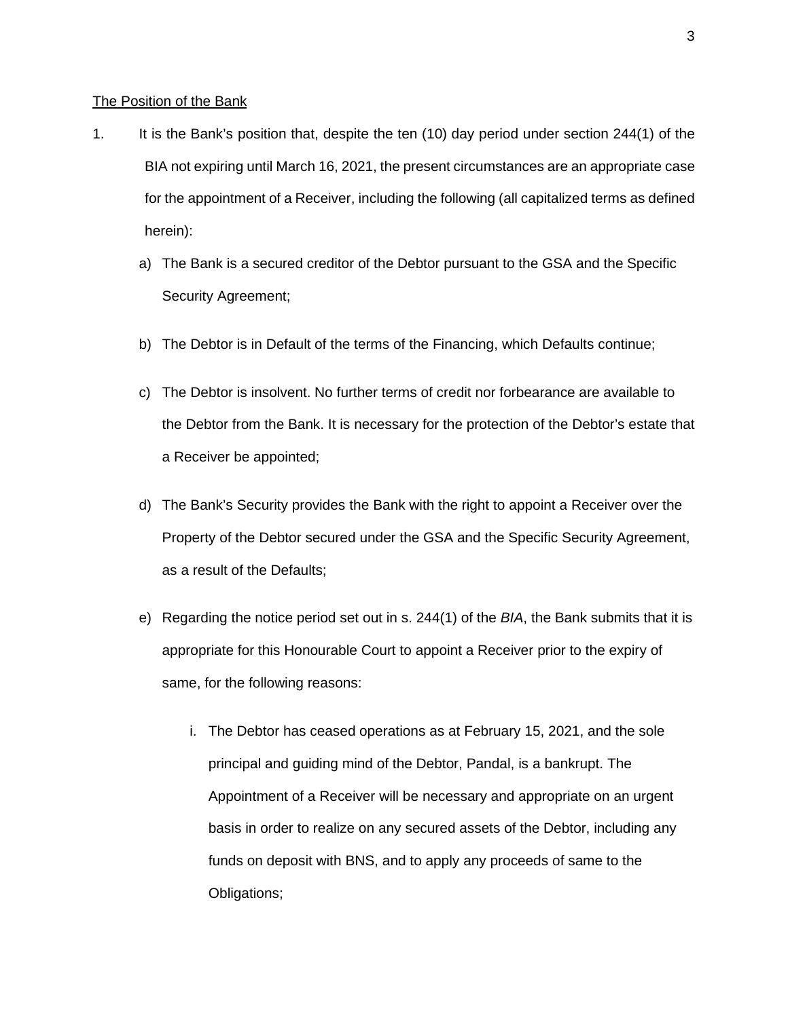#### The Position of the Bank

- 1. It is the Bank's position that, despite the ten (10) day period under section 244(1) of the BIA not expiring until March 16, 2021, the present circumstances are an appropriate case for the appointment of a Receiver, including the following (all capitalized terms as defined herein):
	- a) The Bank is a secured creditor of the Debtor pursuant to the GSA and the Specific Security Agreement;
	- b) The Debtor is in Default of the terms of the Financing, which Defaults continue;
	- c) The Debtor is insolvent. No further terms of credit nor forbearance are available to the Debtor from the Bank. It is necessary for the protection of the Debtor's estate that a Receiver be appointed;
	- d) The Bank's Security provides the Bank with the right to appoint a Receiver over the Property of the Debtor secured under the GSA and the Specific Security Agreement, as a result of the Defaults;
	- e) Regarding the notice period set out in s. 244(1) of the *BIA*, the Bank submits that it is appropriate for this Honourable Court to appoint a Receiver prior to the expiry of same, for the following reasons:
		- i. The Debtor has ceased operations as at February 15, 2021, and the sole principal and guiding mind of the Debtor, Pandal, is a bankrupt. The Appointment of a Receiver will be necessary and appropriate on an urgent basis in order to realize on any secured assets of the Debtor, including any funds on deposit with BNS, and to apply any proceeds of same to the Obligations;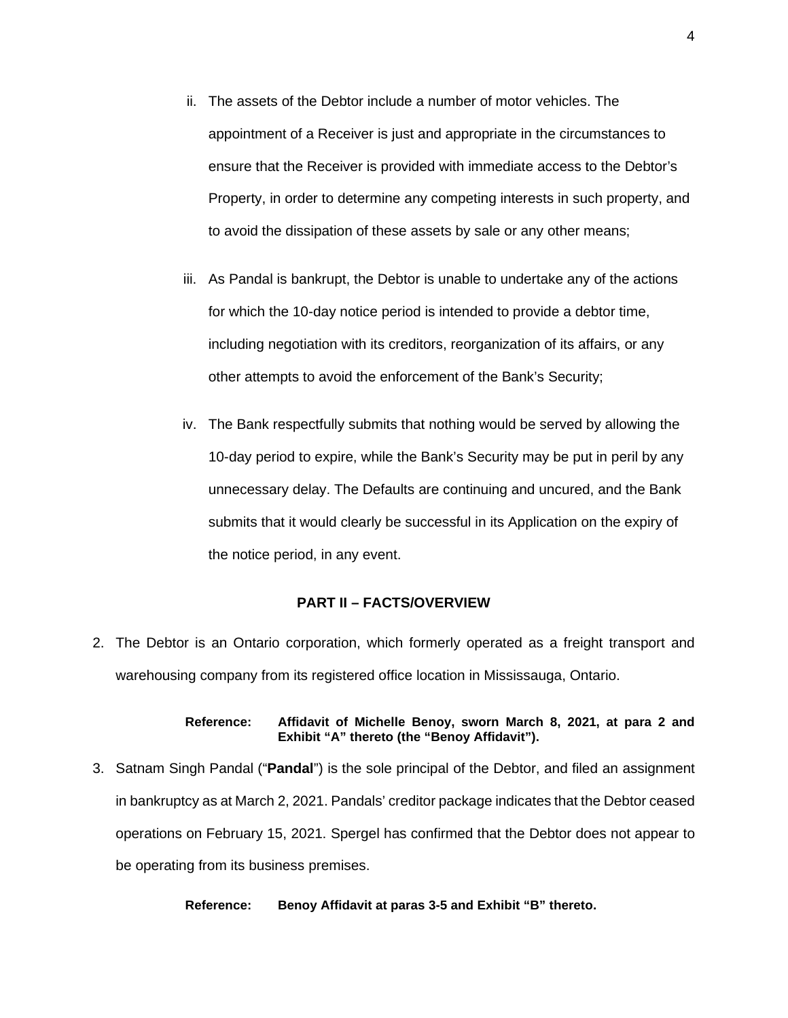- ii. The assets of the Debtor include a number of motor vehicles. The appointment of a Receiver is just and appropriate in the circumstances to ensure that the Receiver is provided with immediate access to the Debtor's Property, in order to determine any competing interests in such property, and to avoid the dissipation of these assets by sale or any other means;
- iii. As Pandal is bankrupt, the Debtor is unable to undertake any of the actions for which the 10-day notice period is intended to provide a debtor time, including negotiation with its creditors, reorganization of its affairs, or any other attempts to avoid the enforcement of the Bank's Security;
- iv. The Bank respectfully submits that nothing would be served by allowing the 10-day period to expire, while the Bank's Security may be put in peril by any unnecessary delay. The Defaults are continuing and uncured, and the Bank submits that it would clearly be successful in its Application on the expiry of the notice period, in any event.

## **PART II – FACTS/OVERVIEW**

2. The Debtor is an Ontario corporation, which formerly operated as a freight transport and warehousing company from its registered office location in Mississauga, Ontario.

#### **Reference: Affidavit of Michelle Benoy, sworn March 8, 2021, at para 2 and Exhibit "A" thereto (the "Benoy Affidavit").**

3. Satnam Singh Pandal ("**Pandal**") is the sole principal of the Debtor, and filed an assignment in bankruptcy as at March 2, 2021. Pandals' creditor package indicates that the Debtor ceased operations on February 15, 2021. Spergel has confirmed that the Debtor does not appear to be operating from its business premises.

**Reference: Benoy Affidavit at paras 3-5 and Exhibit "B" thereto.**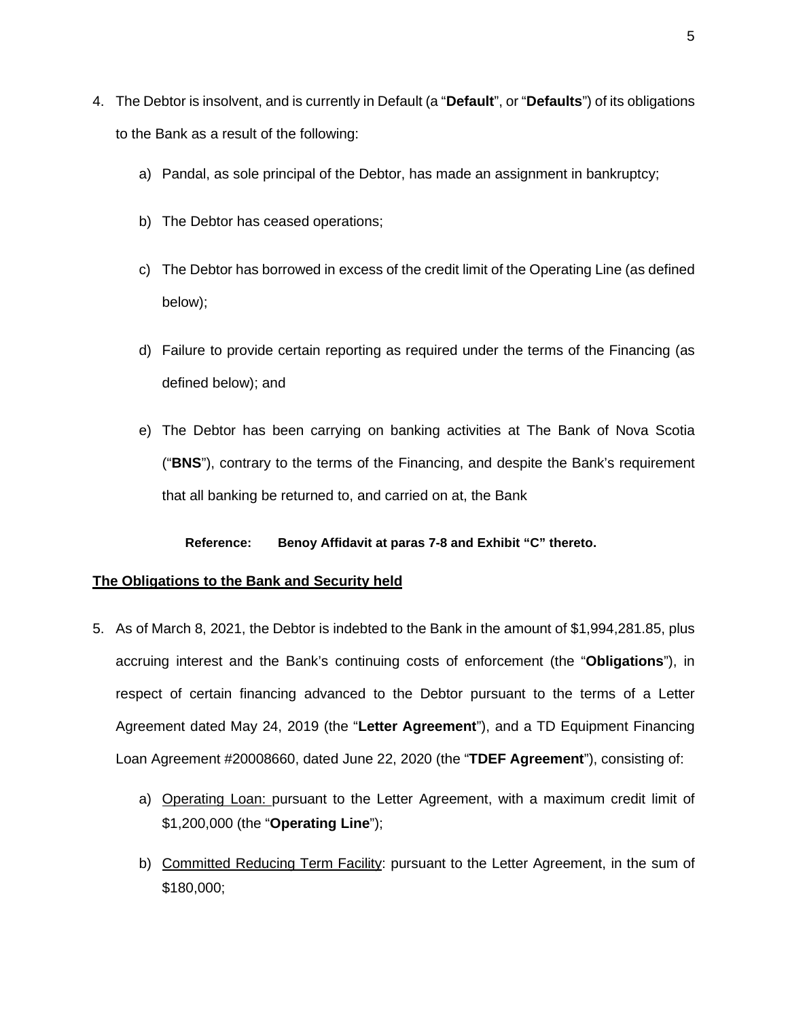- 4. The Debtor is insolvent, and is currently in Default (a "**Default**", or "**Defaults**") of its obligations to the Bank as a result of the following:
	- a) Pandal, as sole principal of the Debtor, has made an assignment in bankruptcy;
	- b) The Debtor has ceased operations;
	- c) The Debtor has borrowed in excess of the credit limit of the Operating Line (as defined below);
	- d) Failure to provide certain reporting as required under the terms of the Financing (as defined below); and
	- e) The Debtor has been carrying on banking activities at The Bank of Nova Scotia ("**BNS**"), contrary to the terms of the Financing, and despite the Bank's requirement that all banking be returned to, and carried on at, the Bank

## **Reference: Benoy Affidavit at paras 7-8 and Exhibit "C" thereto.**

# **The Obligations to the Bank and Security held**

- 5. As of March 8, 2021, the Debtor is indebted to the Bank in the amount of \$1,994,281.85, plus accruing interest and the Bank's continuing costs of enforcement (the "**Obligations**"), in respect of certain financing advanced to the Debtor pursuant to the terms of a Letter Agreement dated May 24, 2019 (the "**Letter Agreement**"), and a TD Equipment Financing Loan Agreement #20008660, dated June 22, 2020 (the "**TDEF Agreement**"), consisting of:
	- a) Operating Loan: pursuant to the Letter Agreement, with a maximum credit limit of \$1,200,000 (the "**Operating Line**");
	- b) Committed Reducing Term Facility: pursuant to the Letter Agreement, in the sum of \$180,000;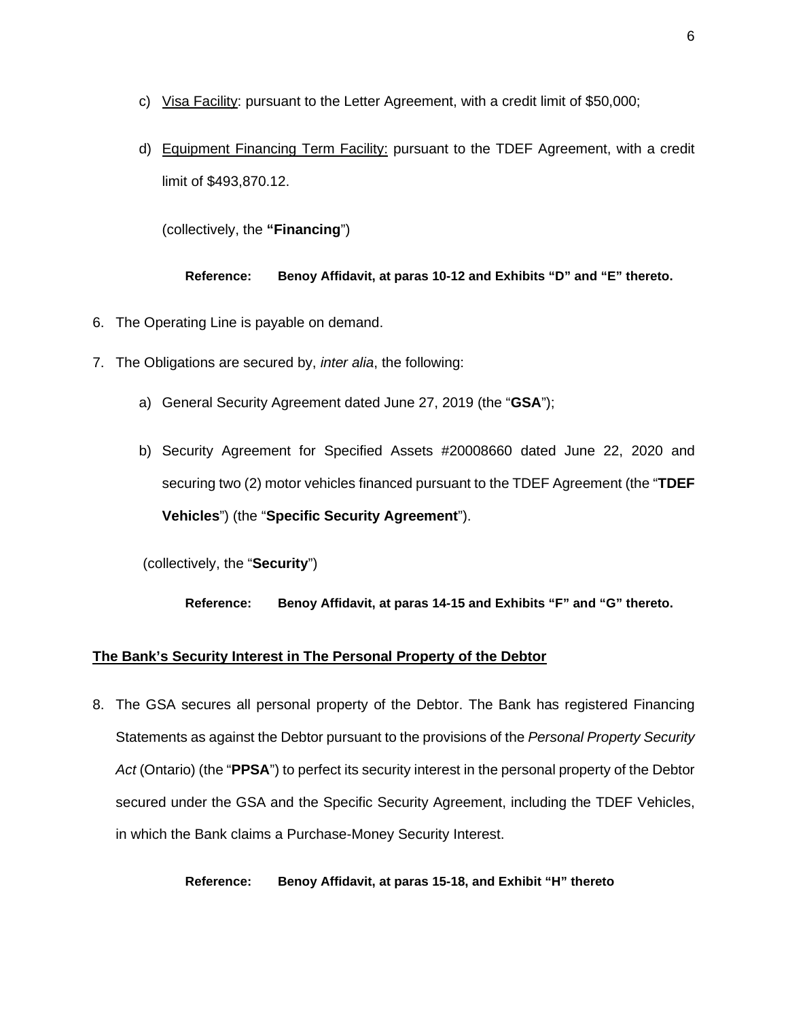- c) Visa Facility: pursuant to the Letter Agreement, with a credit limit of \$50,000;
- d) Equipment Financing Term Facility: pursuant to the TDEF Agreement, with a credit limit of \$493,870.12.

(collectively, the **"Financing**")

**Reference: Benoy Affidavit, at paras 10-12 and Exhibits "D" and "E" thereto.** 

- 6. The Operating Line is payable on demand.
- 7. The Obligations are secured by, *inter alia*, the following:
	- a) General Security Agreement dated June 27, 2019 (the "**GSA**");
	- b) Security Agreement for Specified Assets #20008660 dated June 22, 2020 and securing two (2) motor vehicles financed pursuant to the TDEF Agreement (the "**TDEF Vehicles**") (the "**Specific Security Agreement**").

(collectively, the "**Security**")

**Reference: Benoy Affidavit, at paras 14-15 and Exhibits "F" and "G" thereto.** 

## **The Bank's Security Interest in The Personal Property of the Debtor**

8. The GSA secures all personal property of the Debtor. The Bank has registered Financing Statements as against the Debtor pursuant to the provisions of the *Personal Property Security Act* (Ontario) (the "**PPSA**") to perfect its security interest in the personal property of the Debtor secured under the GSA and the Specific Security Agreement, including the TDEF Vehicles, in which the Bank claims a Purchase-Money Security Interest.

## **Reference: Benoy Affidavit, at paras 15-18, and Exhibit "H" thereto**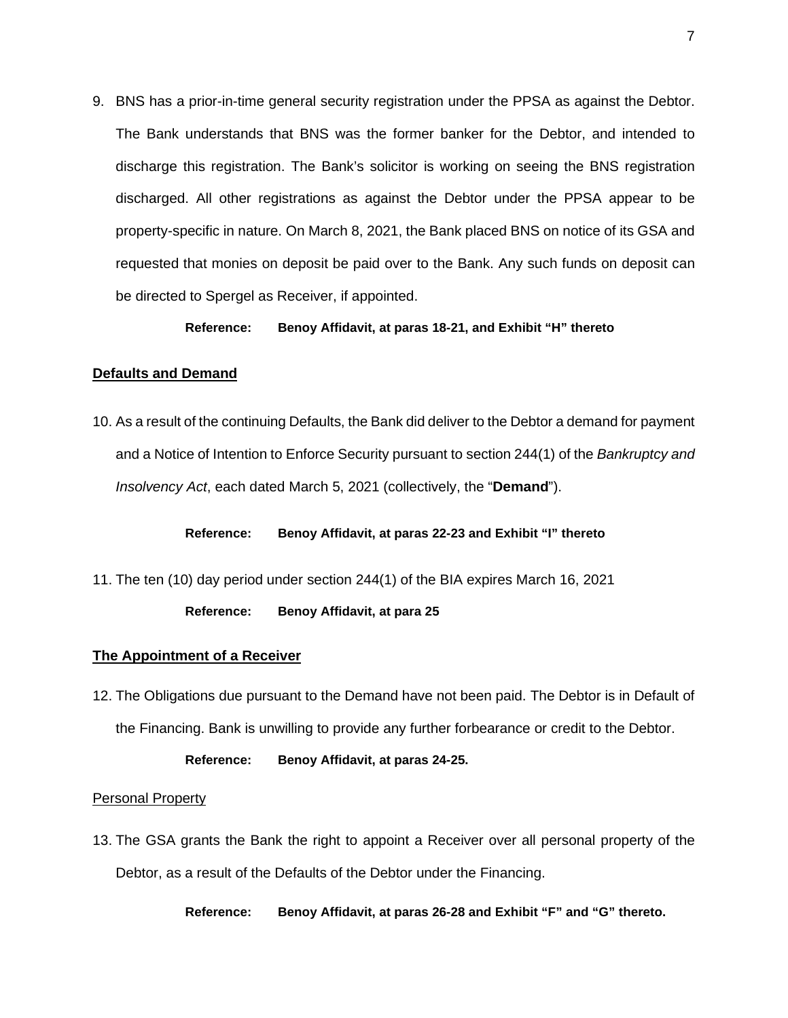9. BNS has a prior-in-time general security registration under the PPSA as against the Debtor. The Bank understands that BNS was the former banker for the Debtor, and intended to discharge this registration. The Bank's solicitor is working on seeing the BNS registration discharged. All other registrations as against the Debtor under the PPSA appear to be property-specific in nature. On March 8, 2021, the Bank placed BNS on notice of its GSA and requested that monies on deposit be paid over to the Bank. Any such funds on deposit can be directed to Spergel as Receiver, if appointed.

#### **Reference: Benoy Affidavit, at paras 18-21, and Exhibit "H" thereto**

## **Defaults and Demand**

10. As a result of the continuing Defaults, the Bank did deliver to the Debtor a demand for payment and a Notice of Intention to Enforce Security pursuant to section 244(1) of the *Bankruptcy and Insolvency Act*, each dated March 5, 2021 (collectively, the "**Demand**").

**Reference: Benoy Affidavit, at paras 22-23 and Exhibit "I" thereto**

11. The ten (10) day period under section 244(1) of the BIA expires March 16, 2021

**Reference: Benoy Affidavit, at para 25** 

#### **The Appointment of a Receiver**

12. The Obligations due pursuant to the Demand have not been paid. The Debtor is in Default of the Financing. Bank is unwilling to provide any further forbearance or credit to the Debtor.

#### **Reference: Benoy Affidavit, at paras 24-25.**

# Personal Property

13. The GSA grants the Bank the right to appoint a Receiver over all personal property of the Debtor, as a result of the Defaults of the Debtor under the Financing.

**Reference: Benoy Affidavit, at paras 26-28 and Exhibit "F" and "G" thereto.**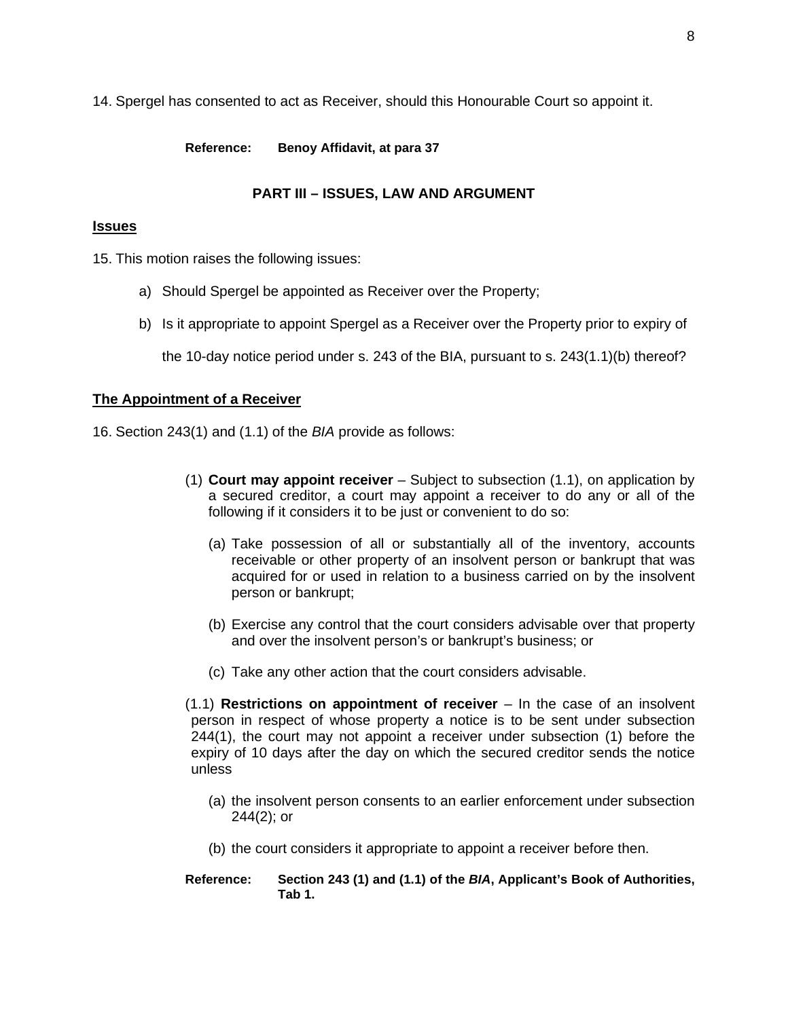14. Spergel has consented to act as Receiver, should this Honourable Court so appoint it.

**Reference: Benoy Affidavit, at para 37**

# **PART III – ISSUES, LAW AND ARGUMENT**

# **Issues**

15. This motion raises the following issues:

- a) Should Spergel be appointed as Receiver over the Property;
- b) Is it appropriate to appoint Spergel as a Receiver over the Property prior to expiry of

the 10-day notice period under s. 243 of the BIA, pursuant to s. 243(1.1)(b) thereof?

# **The Appointment of a Receiver**

16. Section 243(1) and (1.1) of the *BIA* provide as follows:

- (1) **Court may appoint receiver** Subject to subsection (1.1), on application by a secured creditor, a court may appoint a receiver to do any or all of the following if it considers it to be just or convenient to do so:
	- (a) Take possession of all or substantially all of the inventory, accounts receivable or other property of an insolvent person or bankrupt that was acquired for or used in relation to a business carried on by the insolvent person or bankrupt;
	- (b) Exercise any control that the court considers advisable over that property and over the insolvent person's or bankrupt's business; or
	- (c) Take any other action that the court considers advisable.

(1.1) **Restrictions on appointment of receiver** – In the case of an insolvent person in respect of whose property a notice is to be sent under subsection 244(1), the court may not appoint a receiver under subsection (1) before the expiry of 10 days after the day on which the secured creditor sends the notice unless

- (a) the insolvent person consents to an earlier enforcement under subsection 244(2); or
- (b) the court considers it appropriate to appoint a receiver before then.
- **Reference: Section 243 (1) and (1.1) of the** *BIA***, Applicant's Book of Authorities, Tab 1.**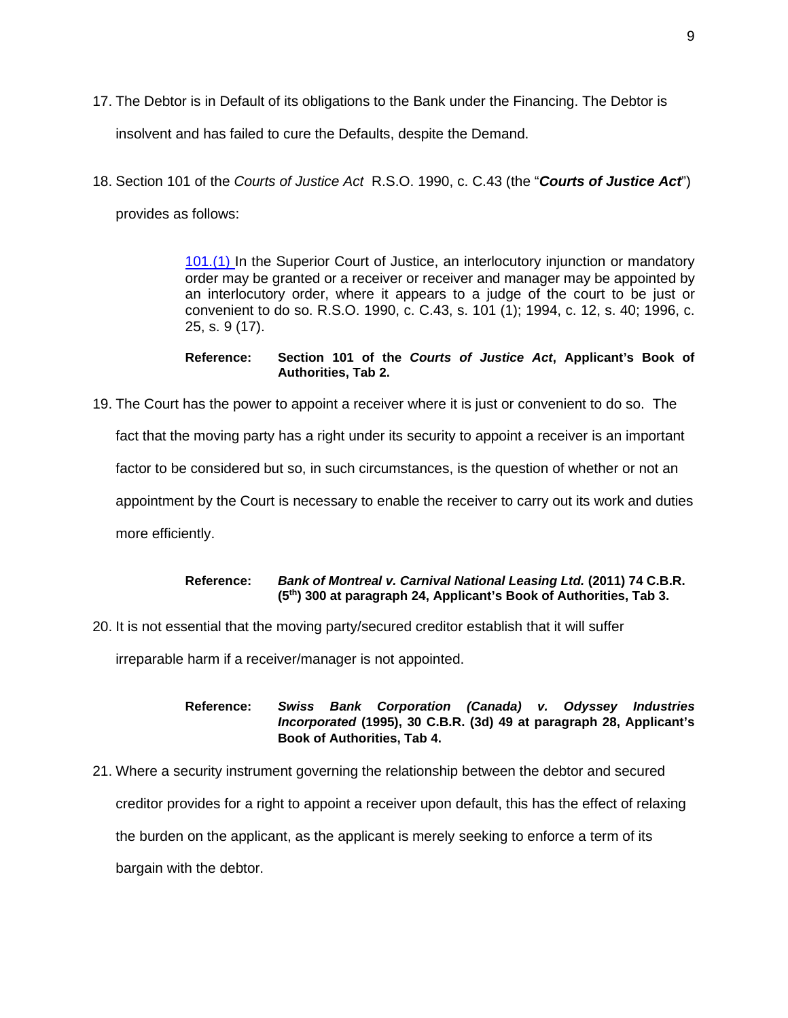17. The Debtor is in Default of its obligations to the Bank under the Financing. The Debtor is

insolvent and has failed to cure the Defaults, despite the Demand.

18. Section 101 of the *Courts of Justice Act* R.S.O. 1990, c. C.43 (the "*Courts of Justice Act*")

provides as follows:

[101.\(1\)](http://www.e-laws.gov.on.ca/html/statutes/french/elaws_statutes_90c43_f.htm#s101s1) In the Superior Court of Justice, an interlocutory injunction or mandatory order may be granted or a receiver or receiver and manager may be appointed by an interlocutory order, where it appears to a judge of the court to be just or convenient to do so. R.S.O. 1990, c. C.43, s. 101 (1); 1994, c. 12, s. 40; 1996, c. 25, s. 9 (17).

#### **Reference: Section 101 of the** *Courts of Justice Act***, Applicant's Book of Authorities, Tab 2.**

19. The Court has the power to appoint a receiver where it is just or convenient to do so. The fact that the moving party has a right under its security to appoint a receiver is an important factor to be considered but so, in such circumstances, is the question of whether or not an appointment by the Court is necessary to enable the receiver to carry out its work and duties more efficiently.

## **Reference:** *Bank of Montreal v. Carnival National Leasing Ltd.* **(2011) 74 C.B.R. (5th) 300 at paragraph 24, Applicant's Book of Authorities, Tab 3.**

20. It is not essential that the moving party/secured creditor establish that it will suffer

irreparable harm if a receiver/manager is not appointed.

**Reference:** *Swiss Bank Corporation (Canada) v. Odyssey Industries Incorporated* **(1995), 30 C.B.R. (3d) 49 at paragraph 28, Applicant's Book of Authorities, Tab 4.** 

21. Where a security instrument governing the relationship between the debtor and secured creditor provides for a right to appoint a receiver upon default, this has the effect of relaxing the burden on the applicant, as the applicant is merely seeking to enforce a term of its bargain with the debtor.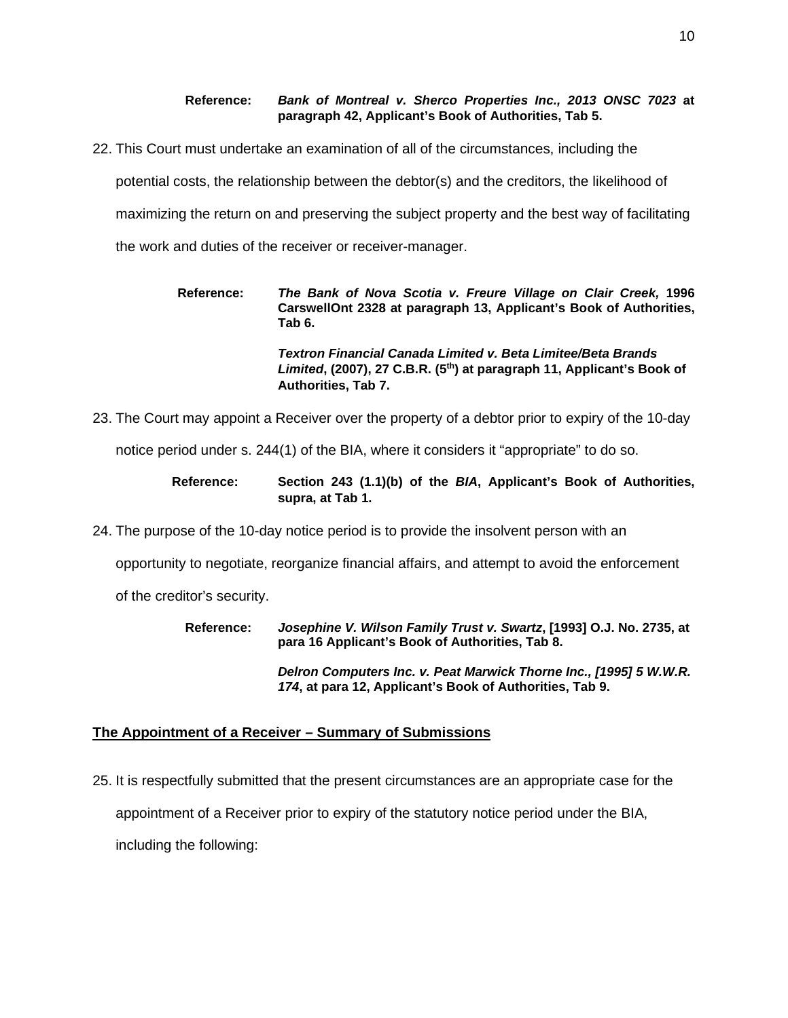**Reference:** *Bank of Montreal v. Sherco Properties Inc., 2013 ONSC 7023* **at paragraph 42, Applicant's Book of Authorities, Tab 5.**

22. This Court must undertake an examination of all of the circumstances, including the

potential costs, the relationship between the debtor(s) and the creditors, the likelihood of

maximizing the return on and preserving the subject property and the best way of facilitating

the work and duties of the receiver or receiver-manager.

| Reference: | The Bank of Nova Scotia v. Freure Village on Clair Creek, 1996<br>CarswellOnt 2328 at paragraph 13, Applicant's Book of Authorities,<br>Tab 6.                            |
|------------|---------------------------------------------------------------------------------------------------------------------------------------------------------------------------|
|            | Textron Financial Canada Limited v. Beta Limitee/Beta Brands<br>Limited, (2007), 27 C.B.R. (5 <sup>th</sup> ) at paragraph 11, Applicant's Book of<br>Authorities, Tab 7. |

23. The Court may appoint a Receiver over the property of a debtor prior to expiry of the 10-day

notice period under s. 244(1) of the BIA, where it considers it "appropriate" to do so.

| Reference: | Section 243 (1.1)(b) of the BIA, Applicant's Book of Authorities, |  |  |  |
|------------|-------------------------------------------------------------------|--|--|--|
|            | supra. at Tab 1.                                                  |  |  |  |

24. The purpose of the 10-day notice period is to provide the insolvent person with an

opportunity to negotiate, reorganize financial affairs, and attempt to avoid the enforcement

of the creditor's security.

**Reference:** *Josephine V. Wilson Family Trust v. Swartz***, [1993] O.J. No. 2735, at para 16 Applicant's Book of Authorities, Tab 8.**

> *Delron Computers Inc. v. Peat Marwick Thorne Inc., [1995] 5 W.W.R. 174***, at para 12, Applicant's Book of Authorities, Tab 9.**

## **The Appointment of a Receiver – Summary of Submissions**

25. It is respectfully submitted that the present circumstances are an appropriate case for the appointment of a Receiver prior to expiry of the statutory notice period under the BIA, including the following: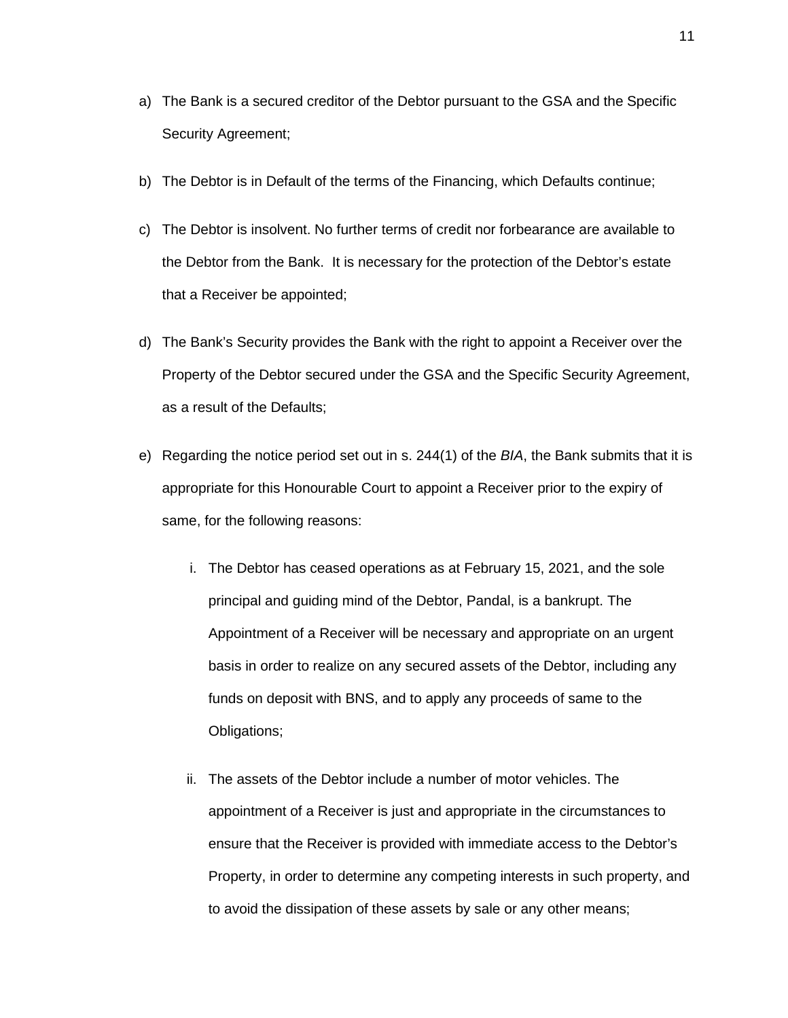- a) The Bank is a secured creditor of the Debtor pursuant to the GSA and the Specific Security Agreement;
- b) The Debtor is in Default of the terms of the Financing, which Defaults continue;
- c) The Debtor is insolvent. No further terms of credit nor forbearance are available to the Debtor from the Bank. It is necessary for the protection of the Debtor's estate that a Receiver be appointed;
- d) The Bank's Security provides the Bank with the right to appoint a Receiver over the Property of the Debtor secured under the GSA and the Specific Security Agreement, as a result of the Defaults;
- e) Regarding the notice period set out in s. 244(1) of the *BIA*, the Bank submits that it is appropriate for this Honourable Court to appoint a Receiver prior to the expiry of same, for the following reasons:
	- i. The Debtor has ceased operations as at February 15, 2021, and the sole principal and guiding mind of the Debtor, Pandal, is a bankrupt. The Appointment of a Receiver will be necessary and appropriate on an urgent basis in order to realize on any secured assets of the Debtor, including any funds on deposit with BNS, and to apply any proceeds of same to the Obligations;
	- ii. The assets of the Debtor include a number of motor vehicles. The appointment of a Receiver is just and appropriate in the circumstances to ensure that the Receiver is provided with immediate access to the Debtor's Property, in order to determine any competing interests in such property, and to avoid the dissipation of these assets by sale or any other means;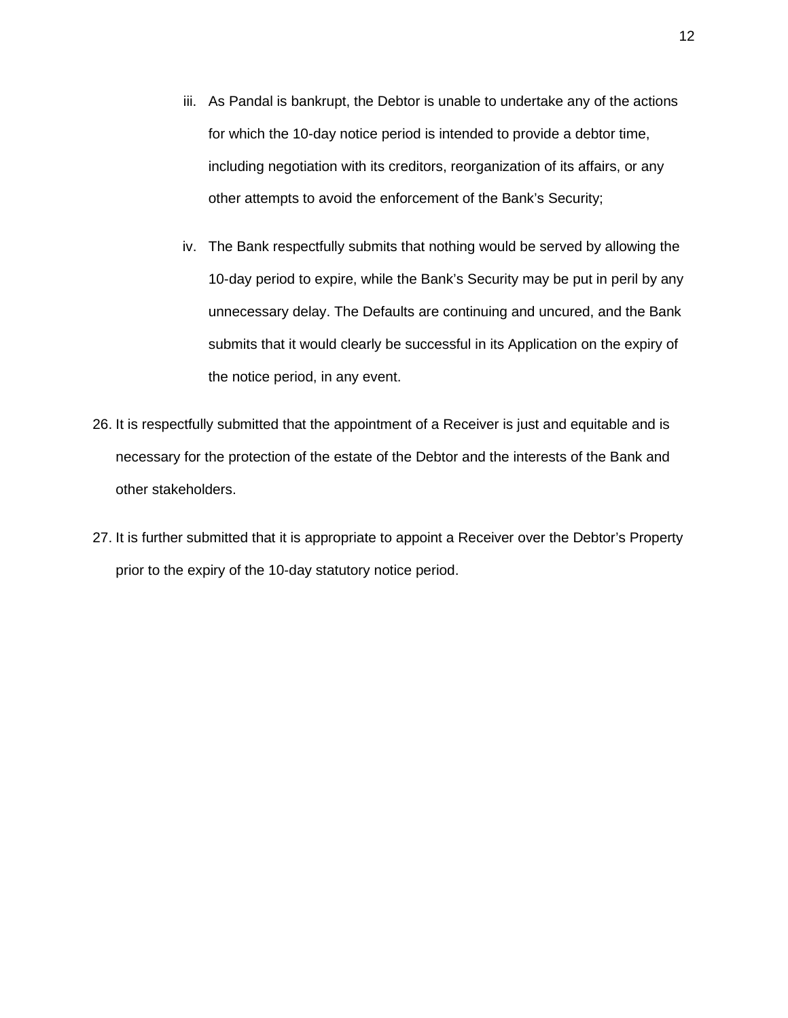- iii. As Pandal is bankrupt, the Debtor is unable to undertake any of the actions for which the 10-day notice period is intended to provide a debtor time, including negotiation with its creditors, reorganization of its affairs, or any other attempts to avoid the enforcement of the Bank's Security;
- iv. The Bank respectfully submits that nothing would be served by allowing the 10-day period to expire, while the Bank's Security may be put in peril by any unnecessary delay. The Defaults are continuing and uncured, and the Bank submits that it would clearly be successful in its Application on the expiry of the notice period, in any event.
- 26. It is respectfully submitted that the appointment of a Receiver is just and equitable and is necessary for the protection of the estate of the Debtor and the interests of the Bank and other stakeholders.
- 27. It is further submitted that it is appropriate to appoint a Receiver over the Debtor's Property prior to the expiry of the 10-day statutory notice period.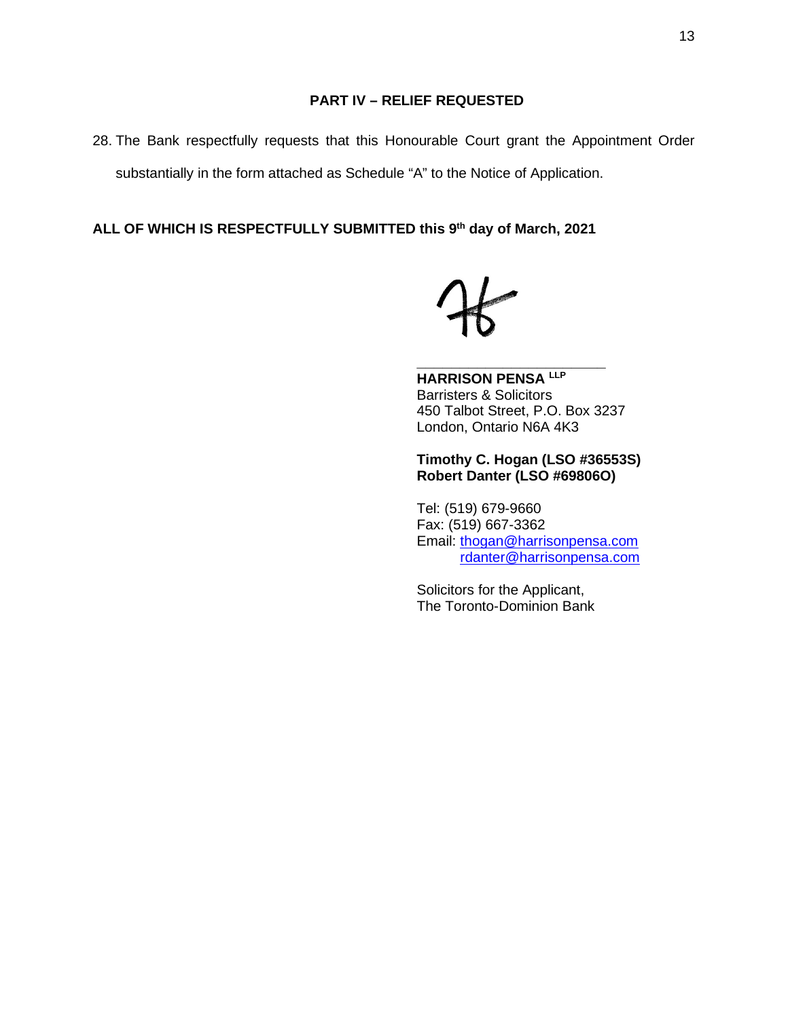28. The Bank respectfully requests that this Honourable Court grant the Appointment Order substantially in the form attached as Schedule "A" to the Notice of Application.

**ALL OF WHICH IS RESPECTFULLY SUBMITTED this 9th day of March, 2021** 

**HARRISON PENSA LLP** Barristers & Solicitors 450 Talbot Street, P.O. Box 3237 London, Ontario N6A 4K3

**\_\_\_\_\_\_\_\_\_\_\_\_\_\_\_\_\_\_\_\_\_\_** 

**Timothy C. Hogan (LSO #36553S) Robert Danter (LSO #69806O)**

Tel: (519) 679-9660 Fax: (519) 667-3362 Email: [thogan@harrisonpensa.com](mailto:thogan@harrisonpensa.com) [rdanter@harrisonpensa.com](mailto:rdanter@harrisonpensa.com)

Solicitors for the Applicant, The Toronto-Dominion Bank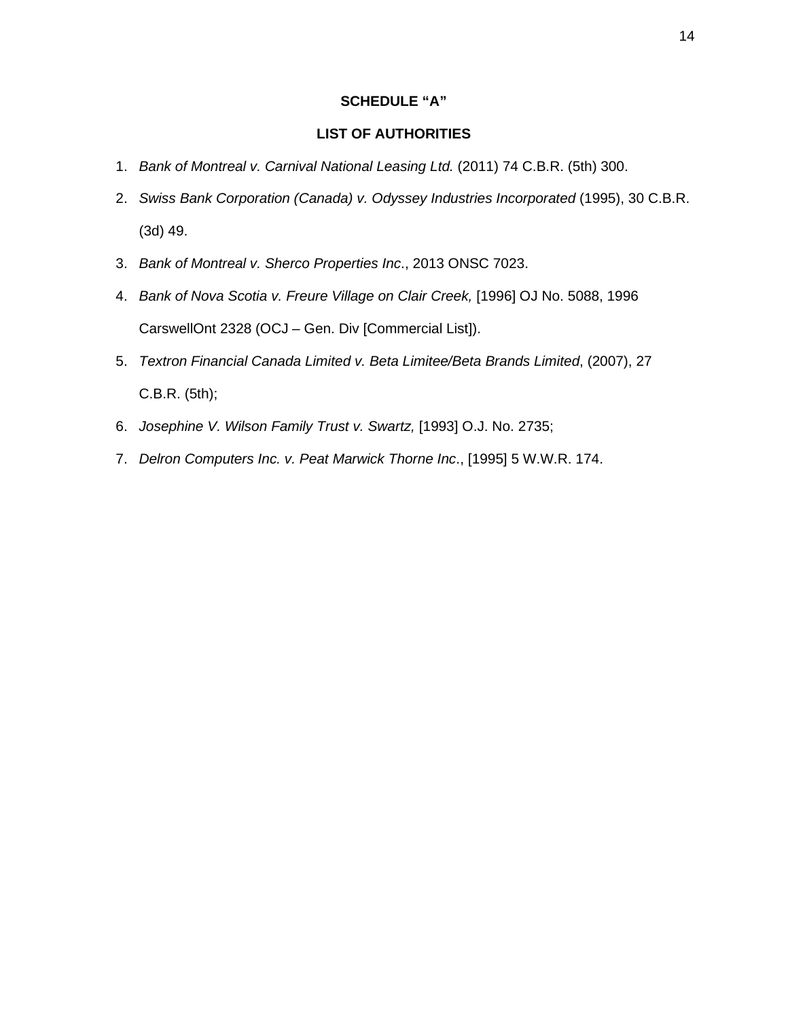# **SCHEDULE "A"**

# **LIST OF AUTHORITIES**

- 1. *Bank of Montreal v. Carnival National Leasing Ltd.* (2011) 74 C.B.R. (5th) 300.
- 2. *Swiss Bank Corporation (Canada) v. Odyssey Industries Incorporated* (1995), 30 C.B.R. (3d) 49.
- 3. *Bank of Montreal v. Sherco Properties Inc*., 2013 ONSC 7023.
- 4. *Bank of Nova Scotia v. Freure Village on Clair Creek,* [1996] OJ No. 5088, 1996 CarswellOnt 2328 (OCJ – Gen. Div [Commercial List]).
- 5. *Textron Financial Canada Limited v. Beta Limitee/Beta Brands Limited*, (2007), 27 C.B.R. (5th);
- 6. *Josephine V. Wilson Family Trust v. Swartz,* [1993] O.J. No. 2735;
- 7. *Delron Computers Inc. v. Peat Marwick Thorne Inc*., [1995] 5 W.W.R. 174.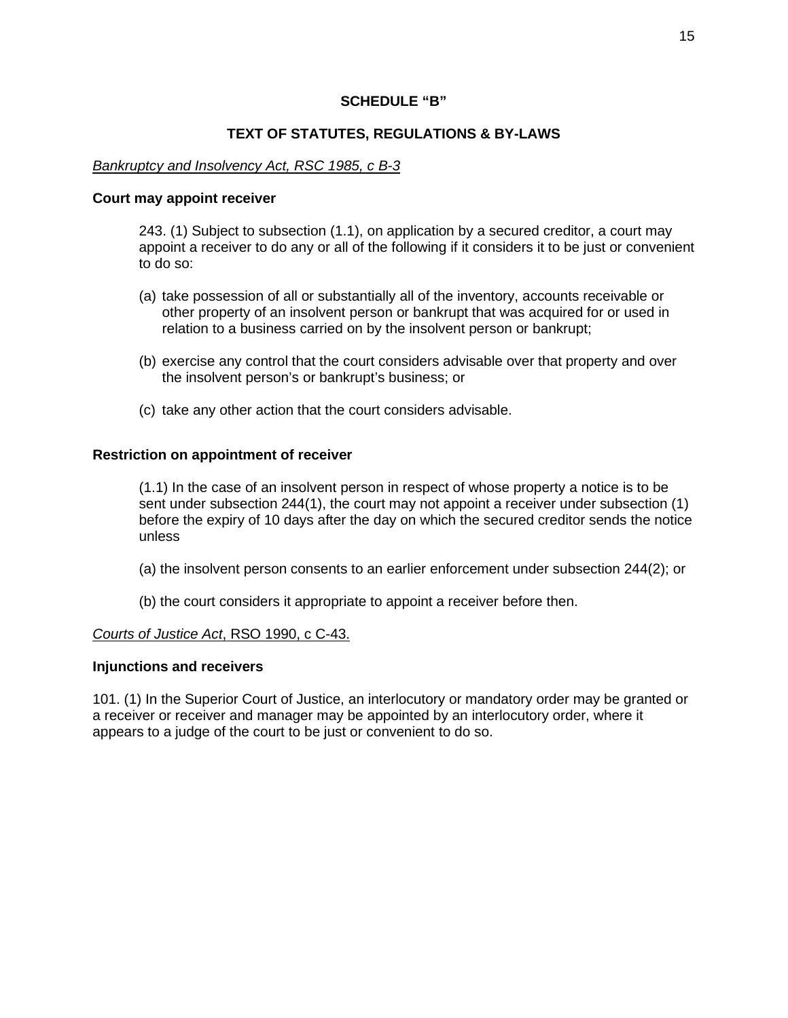# **SCHEDULE "B"**

# **TEXT OF STATUTES, REGULATIONS & BY-LAWS**

# *Bankruptcy and Insolvency Act, RSC 1985, c B-3*

#### **Court may appoint receiver**

243. (1) Subject to subsection (1.1), on application by a secured creditor, a court may appoint a receiver to do any or all of the following if it considers it to be just or convenient to do so:

- (a) take possession of all or substantially all of the inventory, accounts receivable or other property of an insolvent person or bankrupt that was acquired for or used in relation to a business carried on by the insolvent person or bankrupt;
- (b) exercise any control that the court considers advisable over that property and over the insolvent person's or bankrupt's business; or
- (c) take any other action that the court considers advisable.

## **Restriction on appointment of receiver**

(1.1) In the case of an insolvent person in respect of whose property a notice is to be sent under subsection 244(1), the court may not appoint a receiver under subsection (1) before the expiry of 10 days after the day on which the secured creditor sends the notice unless

- (a) the insolvent person consents to an earlier enforcement under subsection 244(2); or
- (b) the court considers it appropriate to appoint a receiver before then.

## *Courts of Justice Act*, RSO 1990, c C-43.

## **Injunctions and receivers**

101. (1) In the Superior Court of Justice, an interlocutory or mandatory order may be granted or a receiver or receiver and manager may be appointed by an interlocutory order, where it appears to a judge of the court to be just or convenient to do so.